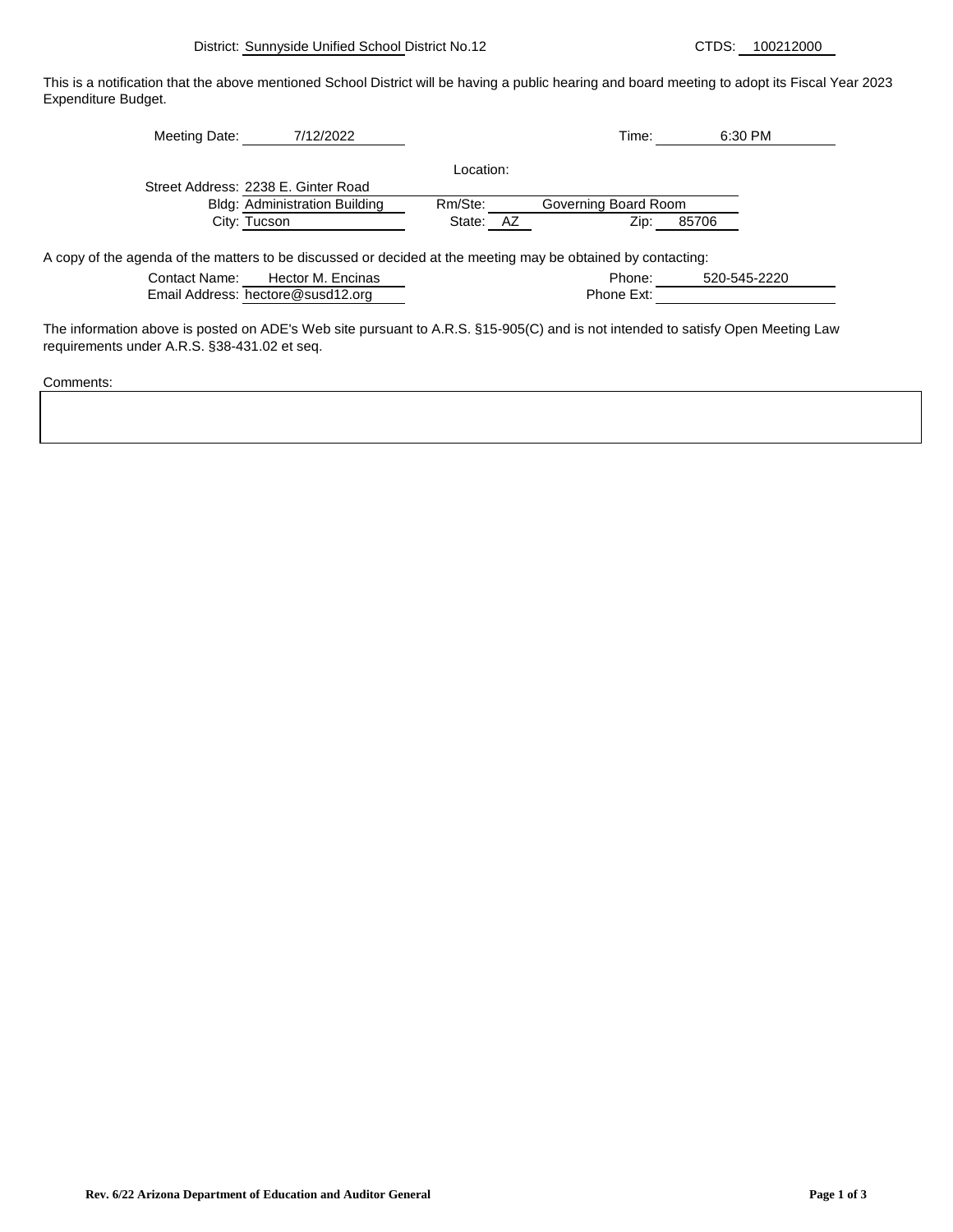This is a notification that the above mentioned School District will be having a public hearing and board meeting to adopt its Fiscal Year 2023 Expenditure Budget.

| Meeting Date:                                                                                                | 7/12/2022                            |              | Time:                | 6:30 PM |
|--------------------------------------------------------------------------------------------------------------|--------------------------------------|--------------|----------------------|---------|
|                                                                                                              |                                      | Location:    |                      |         |
|                                                                                                              | Street Address: 2238 E. Ginter Road  |              |                      |         |
|                                                                                                              | <b>Bldg: Administration Building</b> | Rm/Ste:      | Governing Board Room |         |
|                                                                                                              | City: Tucson                         | State:<br>AZ | Zip:                 | 85706   |
|                                                                                                              |                                      |              |                      |         |
| A copy of the agenda of the matters to be discussed or decided at the meeting may be obtained by contacting: |                                      |              |                      |         |

Contact Name: Phone: Hector M. Encinas 520-545-2220

| Email Address: hectore@susd12.org |  | Phone Ext: |
|-----------------------------------|--|------------|
|                                   |  |            |

The information above is posted on ADE's Web site pursuant to A.R.S. §15-905(C) and is not intended to satisfy Open Meeting Law requirements under A.R.S. §38-431.02 et seq.

Comments: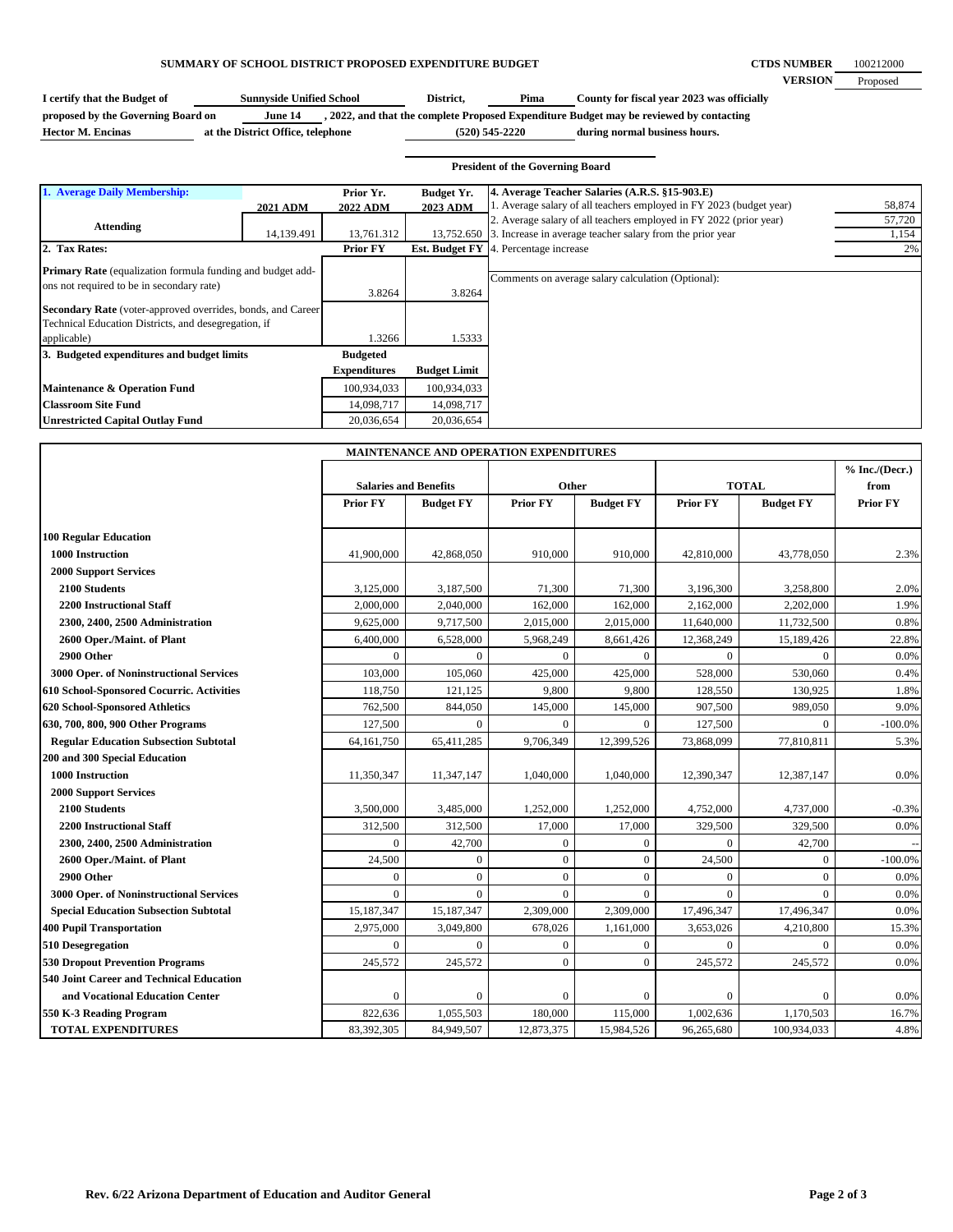## **SUMMARY OF SCHOOL DISTRICT PROPOSED EXPENDITURE BUDGET**

| I certify that the Budget of       | <b>Sunnyside Unified School</b> |  | District. | Pima | County for fiscal year 2023 was officially                                              |
|------------------------------------|---------------------------------|--|-----------|------|-----------------------------------------------------------------------------------------|
| proposed by the Governing Board on | June 14                         |  |           |      | , 2022, and that the complete Proposed Expenditure Budget may be reviewed by contacting |

**Hector M. Encinas (520) 545-2220 at the District Office, telephone**

**during normal business hours.**

## **President of the Governing Board**

| 1. Average Daily Membership:                                                                                   |                 | Prior Yr.           | <b>Budget Yr.</b>     | 4. Average Teacher Salaries (A.R.S. §15-903.E)                      |        |
|----------------------------------------------------------------------------------------------------------------|-----------------|---------------------|-----------------------|---------------------------------------------------------------------|--------|
|                                                                                                                | <b>2021 ADM</b> | <b>2022 ADM</b>     | 2023 ADM              | 1. Average salary of all teachers employed in FY 2023 (budget year) | 58,874 |
| <b>Attending</b>                                                                                               |                 |                     |                       | 2. Average salary of all teachers employed in FY 2022 (prior year)  | 57,720 |
|                                                                                                                | 14,139.491      | 13,761.312          | 13,752.650            | 3. Increase in average teacher salary from the prior year           | 1,154  |
| 2. Tax Rates:                                                                                                  |                 | <b>Prior FY</b>     | <b>Est. Budget FY</b> | 4. Percentage increase                                              | 2%     |
| <b>Primary Rate</b> (equalization formula funding and budget add-<br>ons not required to be in secondary rate) |                 | 3.8264              | 3.8264                | Comments on average salary calculation (Optional):                  |        |
| <b>Secondary Rate</b> (voter-approved overrides, bonds, and Career                                             |                 |                     |                       |                                                                     |        |
| Technical Education Districts, and desegregation, if                                                           |                 |                     |                       |                                                                     |        |
| applicable)                                                                                                    |                 | 1.3266              | 1.5333                |                                                                     |        |
| 3. Budgeted expenditures and budget limits                                                                     |                 | <b>Budgeted</b>     |                       |                                                                     |        |
|                                                                                                                |                 | <b>Expenditures</b> | <b>Budget Limit</b>   |                                                                     |        |
| Maintenance & Operation Fund                                                                                   |                 | 100,934,033         | 100,934,033           |                                                                     |        |
| <b>Classroom Site Fund</b>                                                                                     |                 | 14,098,717          | 14,098,717            |                                                                     |        |
| <b>Unrestricted Capital Outlay Fund</b>                                                                        |                 | 20.036.654          | 20,036,654            |                                                                     |        |

|                                                 |                              | MAINTENANCE AND OPERATION EXPENDITURES |                 |                  |                 |                  |                          |
|-------------------------------------------------|------------------------------|----------------------------------------|-----------------|------------------|-----------------|------------------|--------------------------|
|                                                 | <b>Salaries and Benefits</b> |                                        | Other           |                  | <b>TOTAL</b>    |                  | % Inc. / (Decr.)<br>from |
|                                                 | <b>Prior FY</b>              | <b>Budget FY</b>                       | <b>Prior FY</b> | <b>Budget FY</b> | <b>Prior FY</b> | <b>Budget FY</b> | Prior FY                 |
| <b>100 Regular Education</b>                    |                              |                                        |                 |                  |                 |                  |                          |
| 1000 Instruction                                | 41,900,000                   | 42,868,050                             | 910,000         | 910,000          | 42,810,000      | 43,778,050       | 2.3%                     |
| <b>2000 Support Services</b>                    |                              |                                        |                 |                  |                 |                  |                          |
| 2100 Students                                   | 3,125,000                    | 3,187,500                              | 71,300          | 71,300           | 3,196,300       | 3,258,800        | 2.0%                     |
| <b>2200 Instructional Staff</b>                 | 2,000,000                    | 2,040,000                              | 162,000         | 162,000          | 2,162,000       | 2,202,000        | 1.9%                     |
| 2300, 2400, 2500 Administration                 | 9,625,000                    | 9,717,500                              | 2,015,000       | 2,015,000        | 11,640,000      | 11,732,500       | 0.8%                     |
| 2600 Oper./Maint. of Plant                      | 6,400,000                    | 6,528,000                              | 5,968,249       | 8,661,426        | 12,368,249      | 15,189,426       | 22.8%                    |
| 2900 Other                                      | $\mathbf{0}$                 | $\theta$                               | $\theta$        | $\theta$         | $\theta$        | $\Omega$         | 0.0%                     |
| 3000 Oper. of Noninstructional Services         | 103,000                      | 105,060                                | 425,000         | 425,000          | 528,000         | 530,060          | 0.4%                     |
| 610 School-Sponsored Cocurric. Activities       | 118,750                      | 121,125                                | 9,800           | 9,800            | 128,550         | 130,925          | 1.8%                     |
| 620 School-Sponsored Athletics                  | 762,500                      | 844,050                                | 145,000         | 145,000          | 907,500         | 989,050          | 9.0%                     |
| 630, 700, 800, 900 Other Programs               | 127,500                      | $\Omega$                               | $\Omega$        | $\Omega$         | 127,500         | $\Omega$         | $-100.0\%$               |
| <b>Regular Education Subsection Subtotal</b>    | 64, 161, 750                 | 65,411,285                             | 9,706,349       | 12,399,526       | 73,868,099      | 77,810,811       | 5.3%                     |
| 200 and 300 Special Education                   |                              |                                        |                 |                  |                 |                  |                          |
| 1000 Instruction                                | 11,350,347                   | 11,347,147                             | 1,040,000       | 1,040,000        | 12,390,347      | 12,387,147       | 0.0%                     |
| <b>2000 Support Services</b>                    |                              |                                        |                 |                  |                 |                  |                          |
| 2100 Students                                   | 3,500,000                    | 3,485,000                              | 1,252,000       | 1,252,000        | 4,752,000       | 4,737,000        | $-0.3%$                  |
| <b>2200 Instructional Staff</b>                 | 312,500                      | 312,500                                | 17,000          | 17,000           | 329,500         | 329,500          | 0.0%                     |
| 2300, 2400, 2500 Administration                 | $\mathbf{0}$                 | 42,700                                 | $\overline{0}$  | $\overline{0}$   | $\theta$        | 42,700           |                          |
| 2600 Oper./Maint. of Plant                      | 24,500                       | $\boldsymbol{0}$                       | $\overline{0}$  | $\overline{0}$   | 24,500          | $\mathbf{0}$     | $-100.0\%$               |
| 2900 Other                                      | $\mathbf{0}$                 | $\mathbf{0}$                           | $\overline{0}$  | $\overline{0}$   | $\mathbf{0}$    | $\mathbf{0}$     | 0.0%                     |
| 3000 Oper. of Noninstructional Services         | $\Omega$                     | $\Omega$                               | $\theta$        | $\mathbf{0}$     | $\Omega$        | $\Omega$         | 0.0%                     |
| <b>Special Education Subsection Subtotal</b>    | 15,187,347                   | 15,187,347                             | 2,309,000       | 2,309,000        | 17,496,347      | 17,496,347       | 0.0%                     |
| <b>400 Pupil Transportation</b>                 | 2,975,000                    | 3,049,800                              | 678,026         | 1,161,000        | 3,653,026       | 4,210,800        | 15.3%                    |
| 510 Desegregation                               | $\Omega$                     | $\Omega$                               | $\theta$        | $\Omega$         | $\Omega$        | $\Omega$         | 0.0%                     |
| <b>530 Dropout Prevention Programs</b>          | 245,572                      | 245,572                                | $\overline{0}$  | $\theta$         | 245,572         | 245,572          | 0.0%                     |
| <b>540 Joint Career and Technical Education</b> |                              |                                        |                 |                  |                 |                  |                          |
| and Vocational Education Center                 | $\boldsymbol{0}$             | $\overline{0}$                         | $\overline{0}$  | $\mathbf{0}$     | $\mathbf{0}$    | $\Omega$         | 0.0%                     |
| 550 K-3 Reading Program                         | 822,636                      | 1,055,503                              | 180,000         | 115,000          | 1,002,636       | 1,170,503        | 16.7%                    |
| <b>TOTAL EXPENDITURES</b>                       | 83,392,305                   | 84,949,507                             | 12,873,375      | 15,984,526       | 96,265,680      | 100,934,033      | 4.8%                     |